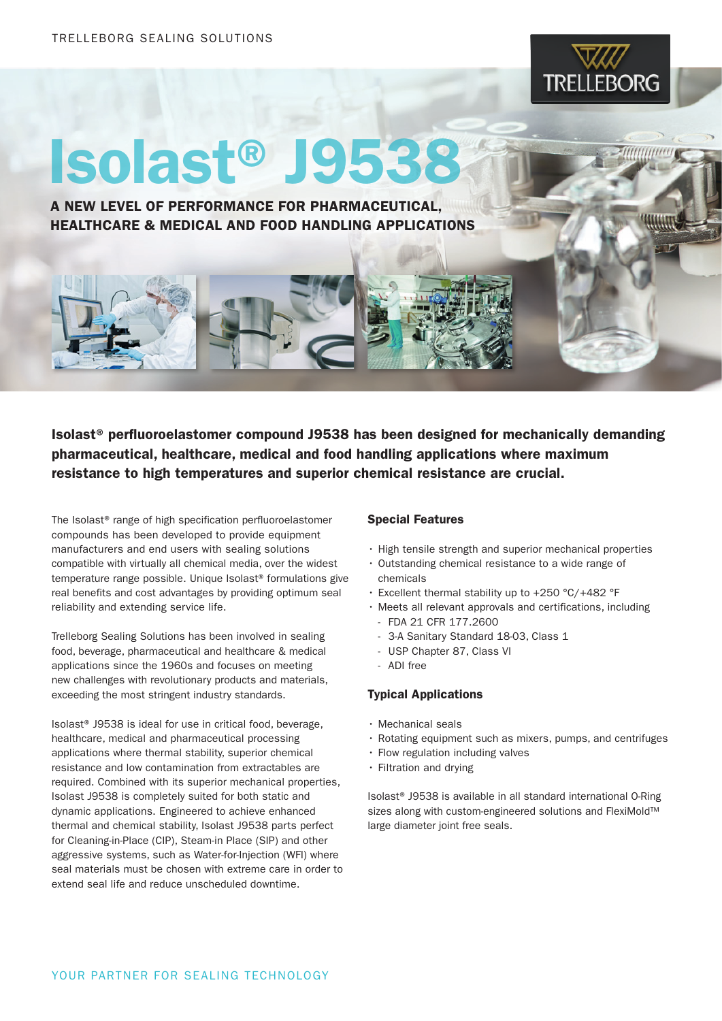

## Isolast® J9538

A NEW LEVEL OF PERFORMANCE FOR PHARMACEUTICAL, HEALTHCARE & MEDICAL AND FOOD HANDLING APPLICATIONS

Isolast® perfluoroelastomer compound J9538 has been designed for mechanically demanding pharmaceutical, healthcare, medical and food handling applications where maximum resistance to high temperatures and superior chemical resistance are crucial.

The Isolast® range of high specification perfluoroelastomer compounds has been developed to provide equipment manufacturers and end users with sealing solutions compatible with virtually all chemical media, over the widest temperature range possible. Unique Isolast® formulations give real benefits and cost advantages by providing optimum seal reliability and extending service life.

Trelleborg Sealing Solutions has been involved in sealing food, beverage, pharmaceutical and healthcare & medical applications since the 1960s and focuses on meeting new challenges with revolutionary products and materials, exceeding the most stringent industry standards.

Isolast® J9538 is ideal for use in critical food, beverage, healthcare, medical and pharmaceutical processing applications where thermal stability, superior chemical resistance and low contamination from extractables are required. Combined with its superior mechanical properties, Isolast J9538 is completely suited for both static and dynamic applications. Engineered to achieve enhanced thermal and chemical stability, Isolast J9538 parts perfect for Cleaning-in-Place (CIP), Steam-in Place (SIP) and other aggressive systems, such as Water-for-Injection (WFI) where seal materials must be chosen with extreme care in order to extend seal life and reduce unscheduled downtime.

## Special Features

- • High tensile strength and superior mechanical properties
- Outstanding chemical resistance to a wide range of chemicals
- • Excellent thermal stability up to +250 °C/+482 °F
- • Meets all relevant approvals and certifications, including
	- FDA 21 CFR 177.2600
	- 3-A Sanitary Standard 18-03, Class 1
	- USP Chapter 87, Class VI
	- ADI free

## Typical Applications

- • Mechanical seals
- • Rotating equipment such as mixers, pumps, and centrifuges
- • Flow regulation including valves
- • Filtration and drying

Isolast® J9538 is available in all standard international O-Ring sizes along with custom-engineered solutions and FlexiMold™ large diameter joint free seals.